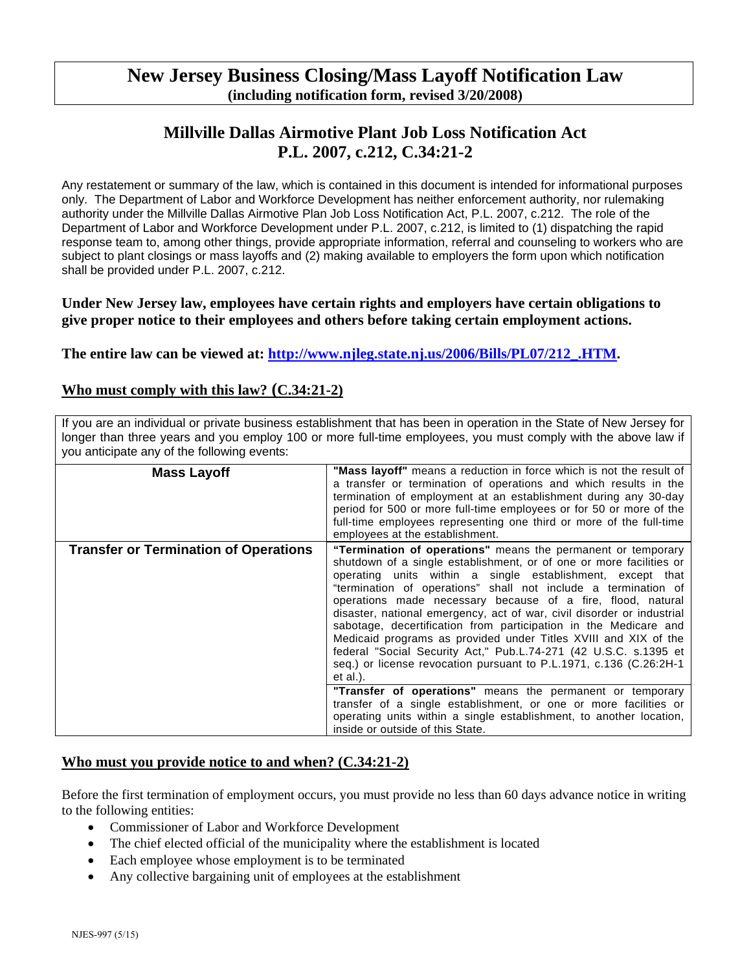## **New Jersey Business Closing/Mass Layoff Notification Law (including notification form, revised 3/20/2008)**

# **Millville Dallas Airmotive Plant Job Loss Notification Act P.L. 2007, c.212, C.34:21-2**

Any restatement or summary of the law, which is contained in this document is intended for informational purposes only. The Department of Labor and Workforce Development has neither enforcement authority, nor rulemaking authority under the Millville Dallas Airmotive Plan Job Loss Notification Act, P.L. 2007, c.212. The role of the Department of Labor and Workforce Development under P.L. 2007, c.212, is limited to (1) dispatching the rapid response team to, among other things, provide appropriate information, referral and counseling to workers who are subject to plant closings or mass layoffs and (2) making available to employers the form upon which notification shall be provided under P.L. 2007, c.212.

**Under New Jersey law, employees have certain rights and employers have certain obligations to give proper notice to their employees and others before taking certain employment actions.** 

**The entire law can be viewed at: [http://www.njleg.state.nj.us/2006/Bills/PL07/212\\_.HTM](http://www.njleg.state.nj.us/2006/Bills/PL07/212_.HTM).** 

### **Who must comply with this law? (C.34:21-2)**

If you are an individual or private business establishment that has been in operation in the State of New Jersey for longer than three years and you employ 100 or more full-time employees, you must comply with the above law if you anticipate any of the following events:

| <b>Mass Layoff</b>                           | "Mass layoff" means a reduction in force which is not the result of<br>a transfer or termination of operations and which results in the<br>termination of employment at an establishment during any 30-day<br>period for 500 or more full-time employees or for 50 or more of the<br>full-time employees representing one third or more of the full-time<br>employees at the establishment.                                                                                                                                                                                                                                                                                                                                                                                                                                                                                                                                                            |
|----------------------------------------------|--------------------------------------------------------------------------------------------------------------------------------------------------------------------------------------------------------------------------------------------------------------------------------------------------------------------------------------------------------------------------------------------------------------------------------------------------------------------------------------------------------------------------------------------------------------------------------------------------------------------------------------------------------------------------------------------------------------------------------------------------------------------------------------------------------------------------------------------------------------------------------------------------------------------------------------------------------|
| <b>Transfer or Termination of Operations</b> | "Termination of operations" means the permanent or temporary<br>shutdown of a single establishment, or of one or more facilities or<br>operating units within a single establishment, except that<br>"termination of operations" shall not include a termination of<br>operations made necessary because of a fire, flood, natural<br>disaster, national emergency, act of war, civil disorder or industrial<br>sabotage, decertification from participation in the Medicare and<br>Medicaid programs as provided under Titles XVIII and XIX of the<br>federal "Social Security Act," Pub.L.74-271 (42 U.S.C. s.1395 et<br>seq.) or license revocation pursuant to P.L.1971, c.136 (C.26:2H-1)<br>et al.).<br>"Transfer of operations" means the permanent or temporary<br>transfer of a single establishment, or one or more facilities or<br>operating units within a single establishment, to another location,<br>inside or outside of this State. |

### **Who must you provide notice to and when? (C.34:21-2)**

Before the first termination of employment occurs, you must provide no less than 60 days advance notice in writing to the following entities:

- Commissioner of Labor and Workforce Development
- The chief elected official of the municipality where the establishment is located
- Each employee whose employment is to be terminated
- Any collective bargaining unit of employees at the establishment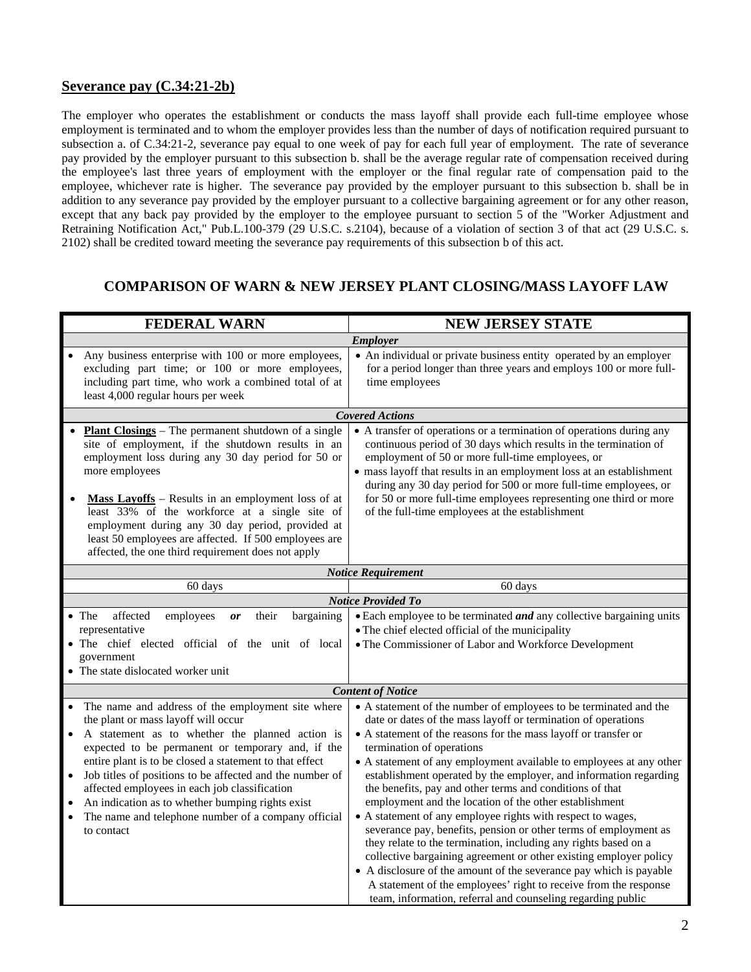#### **Severance pay (C.34:21-2b)**

The employer who operates the establishment or conducts the mass layoff shall provide each full-time employee whose employment is terminated and to whom the employer provides less than the number of days of notification required pursuant to subsection a. of C.34:21-2, severance pay equal to one week of pay for each full year of employment. The rate of severance pay provided by the employer pursuant to this subsection b. shall be the average regular rate of compensation received during the employee's last three years of employment with the employer or the final regular rate of compensation paid to the employee, whichever rate is higher. The severance pay provided by the employer pursuant to this subsection b. shall be in addition to any severance pay provided by the employer pursuant to a collective bargaining agreement or for any other reason, except that any back pay provided by the employer to the employee pursuant to section 5 of the "Worker Adjustment and Retraining Notification Act," Pub.L.100-379 (29 U.S.C. s.2104), because of a violation of section 3 of that act (29 U.S.C. s. 2102) shall be credited toward meeting the severance pay requirements of this subsection b of this act.

### **COMPARISON OF WARN & NEW JERSEY PLANT CLOSING/MASS LAYOFF LAW**

| <b>FEDERAL WARN</b>                                                                                                                                                                                                                                                                                                                                                                                                                                                                                                         | <b>NEW JERSEY STATE</b>                                                                                                                                                                                                                                                                                                                                                                                                                                                                                                                                                                                                                                                                                                                                                                                                                                                                                                                                                                  |
|-----------------------------------------------------------------------------------------------------------------------------------------------------------------------------------------------------------------------------------------------------------------------------------------------------------------------------------------------------------------------------------------------------------------------------------------------------------------------------------------------------------------------------|------------------------------------------------------------------------------------------------------------------------------------------------------------------------------------------------------------------------------------------------------------------------------------------------------------------------------------------------------------------------------------------------------------------------------------------------------------------------------------------------------------------------------------------------------------------------------------------------------------------------------------------------------------------------------------------------------------------------------------------------------------------------------------------------------------------------------------------------------------------------------------------------------------------------------------------------------------------------------------------|
|                                                                                                                                                                                                                                                                                                                                                                                                                                                                                                                             | <b>Employer</b>                                                                                                                                                                                                                                                                                                                                                                                                                                                                                                                                                                                                                                                                                                                                                                                                                                                                                                                                                                          |
| Any business enterprise with 100 or more employees,<br>excluding part time; or 100 or more employees,<br>including part time, who work a combined total of at<br>least 4,000 regular hours per week                                                                                                                                                                                                                                                                                                                         | • An individual or private business entity operated by an employer<br>for a period longer than three years and employs 100 or more full-<br>time employees                                                                                                                                                                                                                                                                                                                                                                                                                                                                                                                                                                                                                                                                                                                                                                                                                               |
|                                                                                                                                                                                                                                                                                                                                                                                                                                                                                                                             | <b>Covered Actions</b>                                                                                                                                                                                                                                                                                                                                                                                                                                                                                                                                                                                                                                                                                                                                                                                                                                                                                                                                                                   |
| <b>Plant Closings</b> – The permanent shutdown of a single<br>site of employment, if the shutdown results in an<br>employment loss during any 30 day period for 50 or<br>more employees<br>Mass Layoffs - Results in an employment loss of at<br>$\bullet$<br>least 33% of the workforce at a single site of<br>employment during any 30 day period, provided at<br>least 50 employees are affected. If 500 employees are<br>affected, the one third requirement does not apply                                             | • A transfer of operations or a termination of operations during any<br>continuous period of 30 days which results in the termination of<br>employment of 50 or more full-time employees, or<br>• mass layoff that results in an employment loss at an establishment<br>during any 30 day period for 500 or more full-time employees, or<br>for 50 or more full-time employees representing one third or more<br>of the full-time employees at the establishment                                                                                                                                                                                                                                                                                                                                                                                                                                                                                                                         |
|                                                                                                                                                                                                                                                                                                                                                                                                                                                                                                                             | <b>Notice Requirement</b>                                                                                                                                                                                                                                                                                                                                                                                                                                                                                                                                                                                                                                                                                                                                                                                                                                                                                                                                                                |
| 60 days                                                                                                                                                                                                                                                                                                                                                                                                                                                                                                                     | 60 days                                                                                                                                                                                                                                                                                                                                                                                                                                                                                                                                                                                                                                                                                                                                                                                                                                                                                                                                                                                  |
|                                                                                                                                                                                                                                                                                                                                                                                                                                                                                                                             | <b>Notice Provided To</b>                                                                                                                                                                                                                                                                                                                                                                                                                                                                                                                                                                                                                                                                                                                                                                                                                                                                                                                                                                |
| affected<br>bargaining<br>$\bullet$ The<br>employees<br>their<br>or<br>representative<br>• The chief elected official of the unit of local<br>government<br>• The state dislocated worker unit                                                                                                                                                                                                                                                                                                                              | • Each employee to be terminated <i>and</i> any collective bargaining units<br>• The chief elected official of the municipality<br>• The Commissioner of Labor and Workforce Development                                                                                                                                                                                                                                                                                                                                                                                                                                                                                                                                                                                                                                                                                                                                                                                                 |
|                                                                                                                                                                                                                                                                                                                                                                                                                                                                                                                             | <b>Content of Notice</b>                                                                                                                                                                                                                                                                                                                                                                                                                                                                                                                                                                                                                                                                                                                                                                                                                                                                                                                                                                 |
| The name and address of the employment site where<br>the plant or mass layoff will occur<br>A statement as to whether the planned action is<br>$\bullet$<br>expected to be permanent or temporary and, if the<br>entire plant is to be closed a statement to that effect<br>Job titles of positions to be affected and the number of<br>$\bullet$<br>affected employees in each job classification<br>An indication as to whether bumping rights exist<br>The name and telephone number of a company official<br>to contact | • A statement of the number of employees to be terminated and the<br>date or dates of the mass layoff or termination of operations<br>• A statement of the reasons for the mass layoff or transfer or<br>termination of operations<br>• A statement of any employment available to employees at any other<br>establishment operated by the employer, and information regarding<br>the benefits, pay and other terms and conditions of that<br>employment and the location of the other establishment<br>• A statement of any employee rights with respect to wages,<br>severance pay, benefits, pension or other terms of employment as<br>they relate to the termination, including any rights based on a<br>collective bargaining agreement or other existing employer policy<br>• A disclosure of the amount of the severance pay which is payable<br>A statement of the employees' right to receive from the response<br>team, information, referral and counseling regarding public |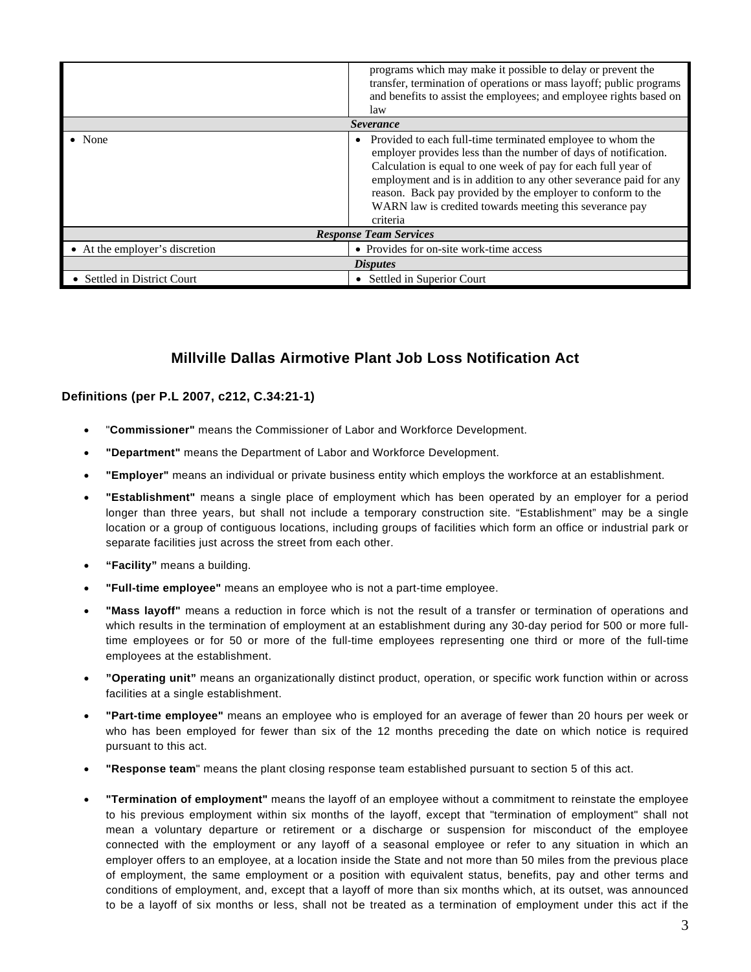|                                | programs which may make it possible to delay or prevent the<br>transfer, termination of operations or mass layoff; public programs<br>and benefits to assist the employees; and employee rights based on<br>law<br><i>Severance</i>                                                                                                                                                                                    |
|--------------------------------|------------------------------------------------------------------------------------------------------------------------------------------------------------------------------------------------------------------------------------------------------------------------------------------------------------------------------------------------------------------------------------------------------------------------|
| $\bullet$ None                 | Provided to each full-time terminated employee to whom the<br>$\bullet$<br>employer provides less than the number of days of notification.<br>Calculation is equal to one week of pay for each full year of<br>employment and is in addition to any other severance paid for any<br>reason. Back pay provided by the employer to conform to the<br>WARN law is credited towards meeting this severance pay<br>criteria |
| <b>Response Team Services</b>  |                                                                                                                                                                                                                                                                                                                                                                                                                        |
| • At the employer's discretion | • Provides for on-site work-time access                                                                                                                                                                                                                                                                                                                                                                                |
| <b>Disputes</b>                |                                                                                                                                                                                                                                                                                                                                                                                                                        |
| • Settled in District Court    | • Settled in Superior Court                                                                                                                                                                                                                                                                                                                                                                                            |

## **Millville Dallas Airmotive Plant Job Loss Notification Act**

#### **Definitions (per P.L 2007, c212, C.34:21-1)**

- "**Commissioner"** means the Commissioner of Labor and Workforce Development.
- **"Department"** means the Department of Labor and Workforce Development.
- **"Employer"** means an individual or private business entity which employs the workforce at an establishment.
- **"Establishment"** means a single place of employment which has been operated by an employer for a period longer than three years, but shall not include a temporary construction site. "Establishment" may be a single location or a group of contiguous locations, including groups of facilities which form an office or industrial park or separate facilities just across the street from each other.
- **"Facility"** means a building.
- **"Full-time employee"** means an employee who is not a part-time employee.
- **"Mass layoff"** means a reduction in force which is not the result of a transfer or termination of operations and which results in the termination of employment at an establishment during any 30-day period for 500 or more fulltime employees or for 50 or more of the full-time employees representing one third or more of the full-time employees at the establishment.
- **"Operating unit"** means an organizationally distinct product, operation, or specific work function within or across facilities at a single establishment.
- **"Part-time employee"** means an employee who is employed for an average of fewer than 20 hours per week or who has been employed for fewer than six of the 12 months preceding the date on which notice is required pursuant to this act.
- **"Response team**" means the plant closing response team established pursuant to section 5 of this act.
- **"Termination of employment"** means the layoff of an employee without a commitment to reinstate the employee to his previous employment within six months of the layoff, except that "termination of employment" shall not mean a voluntary departure or retirement or a discharge or suspension for misconduct of the employee connected with the employment or any layoff of a seasonal employee or refer to any situation in which an employer offers to an employee, at a location inside the State and not more than 50 miles from the previous place of employment, the same employment or a position with equivalent status, benefits, pay and other terms and conditions of employment, and, except that a layoff of more than six months which, at its outset, was announced to be a layoff of six months or less, shall not be treated as a termination of employment under this act if the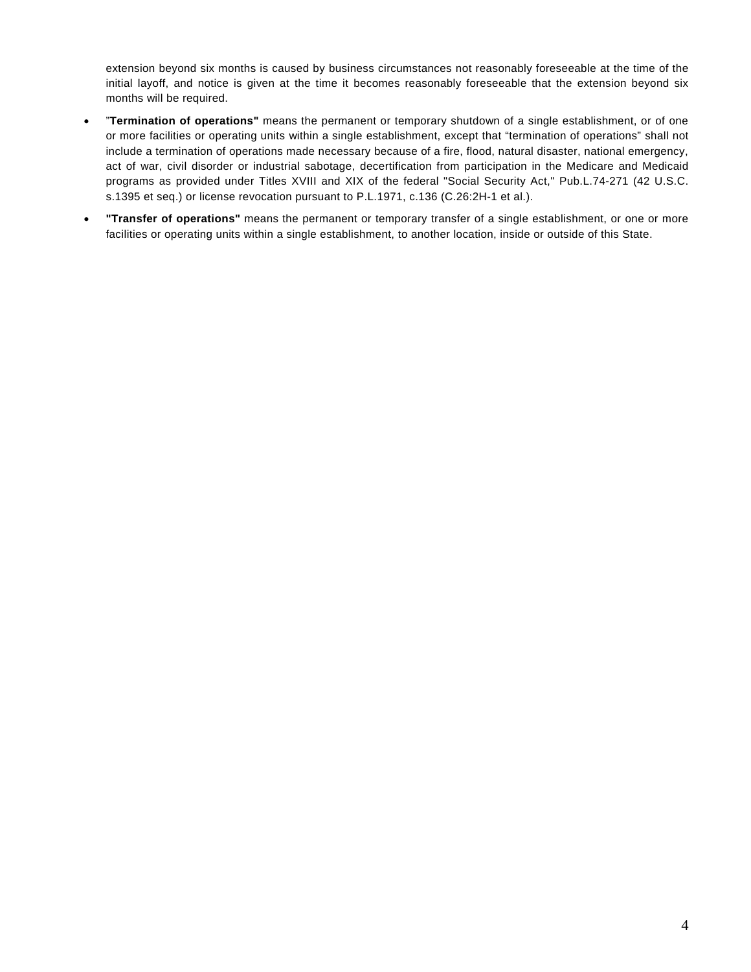extension beyond six months is caused by business circumstances not reasonably foreseeable at the time of the initial layoff, and notice is given at the time it becomes reasonably foreseeable that the extension beyond six months will be required.

- "**Termination of operations"** means the permanent or temporary shutdown of a single establishment, or of one or more facilities or operating units within a single establishment, except that "termination of operations" shall not include a termination of operations made necessary because of a fire, flood, natural disaster, national emergency, act of war, civil disorder or industrial sabotage, decertification from participation in the Medicare and Medicaid programs as provided under Titles XVIII and XIX of the federal "Social Security Act," Pub.L.74-271 (42 U.S.C. s.1395 et seq.) or license revocation pursuant to P.L.1971, c.136 (C.26:2H-1 et al.).
- **"Transfer of operations"** means the permanent or temporary transfer of a single establishment, or one or more facilities or operating units within a single establishment, to another location, inside or outside of this State.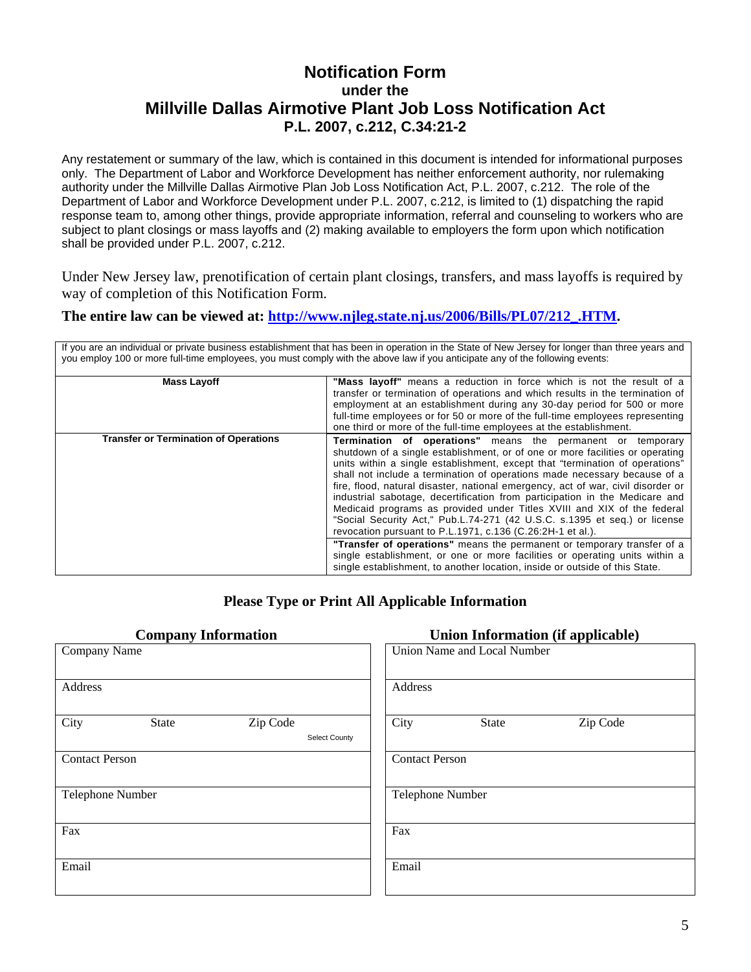# **Notification Form under the Millville Dallas Airmotive Plant Job Loss Notification Act P.L. 2007, c.212, C.34:21-2**

Any restatement or summary of the law, which is contained in this document is intended for informational purposes only. The Department of Labor and Workforce Development has neither enforcement authority, nor rulemaking authority under the Millville Dallas Airmotive Plan Job Loss Notification Act, P.L. 2007, c.212. The role of the Department of Labor and Workforce Development under P.L. 2007, c.212, is limited to (1) dispatching the rapid response team to, among other things, provide appropriate information, referral and counseling to workers who are subject to plant closings or mass layoffs and (2) making available to employers the form upon which notification shall be provided under P.L. 2007, c.212.

Under New Jersey law, prenotification of certain plant closings, transfers, and mass layoffs is required by way of completion of this Notification Form.

### **The entire law can be viewed at: [http://www.njleg.state.nj.us/2006/Bills/PL07/212\\_.HTM](http://www.njleg.state.nj.us/2006/Bills/PL07/212_.HTM).**

If you are an individual or private business establishment that has been in operation in the State of New Jersey for longer than three years and you employ 100 or more full-time employees, you must comply with the above law if you anticipate any of the following events:

| <b>Mass Layoff</b>                           | "Mass layoff" means a reduction in force which is not the result of a<br>transfer or termination of operations and which results in the termination of<br>employment at an establishment during any 30-day period for 500 or more<br>full-time employees or for 50 or more of the full-time employees representing<br>one third or more of the full-time employees at the establishment.                                                                                                                                                                                                                                                                                                                                                                                                                                                                                                                                                            |
|----------------------------------------------|-----------------------------------------------------------------------------------------------------------------------------------------------------------------------------------------------------------------------------------------------------------------------------------------------------------------------------------------------------------------------------------------------------------------------------------------------------------------------------------------------------------------------------------------------------------------------------------------------------------------------------------------------------------------------------------------------------------------------------------------------------------------------------------------------------------------------------------------------------------------------------------------------------------------------------------------------------|
| <b>Transfer or Termination of Operations</b> | <b>Termination of operations</b> " means the permanent or temporary<br>shutdown of a single establishment, or of one or more facilities or operating<br>units within a single establishment, except that "termination of operations"<br>shall not include a termination of operations made necessary because of a<br>fire, flood, natural disaster, national emergency, act of war, civil disorder or<br>industrial sabotage, decertification from participation in the Medicare and<br>Medicaid programs as provided under Titles XVIII and XIX of the federal<br>"Social Security Act," Pub.L.74-271 (42 U.S.C. s.1395 et seq.) or license<br>revocation pursuant to P.L.1971, c.136 (C.26:2H-1 et al.).<br>"Transfer of operations" means the permanent or temporary transfer of a<br>single establishment, or one or more facilities or operating units within a<br>single establishment, to another location, inside or outside of this State. |

### **Please Type or Print All Applicable Information**

| <b>Company Information</b>                        | <b>Union Information (if applicable)</b> |
|---------------------------------------------------|------------------------------------------|
| Company Name                                      | Union Name and Local Number              |
| Address                                           | Address                                  |
| Zip Code<br>City<br><b>State</b><br>Select County | Zip Code<br>City<br><b>State</b>         |
| <b>Contact Person</b>                             | <b>Contact Person</b>                    |
| Telephone Number                                  | Telephone Number                         |
| Fax                                               | Fax                                      |
| Email                                             | Email                                    |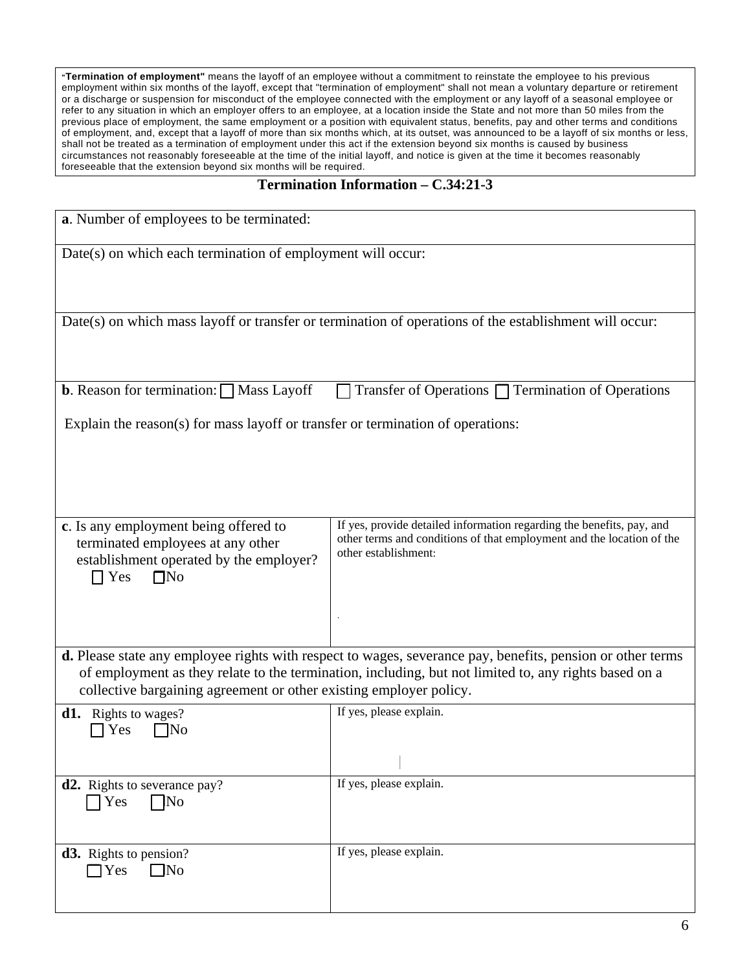**"Termination of employment"** means the layoff of an employee without a commitment to reinstate the employee to his previous employment within six months of the layoff, except that "termination of employment" shall not mean a voluntary departure or retirement or a discharge or suspension for misconduct of the employee connected with the employment or any layoff of a seasonal employee or refer to any situation in which an employer offers to an employee, at a location inside the State and not more than 50 miles from the previous place of employment, the same employment or a position with equivalent status, benefits, pay and other terms and conditions of employment, and, except that a layoff of more than six months which, at its outset, was announced to be a layoff of six months or less, shall not be treated as a termination of employment under this act if the extension beyond six months is caused by business circumstances not reasonably foreseeable at the time of the initial layoff, and notice is given at the time it becomes reasonably foreseeable that the extension beyond six months will be required.

## **Termination Information – C.34:21-3**

| a. Number of employees to be terminated:                                                                                                                                                                                                                                                  |                                                                                                                                                                        |  |
|-------------------------------------------------------------------------------------------------------------------------------------------------------------------------------------------------------------------------------------------------------------------------------------------|------------------------------------------------------------------------------------------------------------------------------------------------------------------------|--|
| Date(s) on which each termination of employment will occur:                                                                                                                                                                                                                               |                                                                                                                                                                        |  |
| Date(s) on which mass layoff or transfer or termination of operations of the establishment will occur:                                                                                                                                                                                    |                                                                                                                                                                        |  |
| <b>b.</b> Reason for termination: $\Box$ Mass Layoff                                                                                                                                                                                                                                      | Transfer of Operations $\Box$ Termination of Operations                                                                                                                |  |
| Explain the reason(s) for mass layoff or transfer or termination of operations:                                                                                                                                                                                                           |                                                                                                                                                                        |  |
| c. Is any employment being offered to<br>terminated employees at any other<br>establishment operated by the employer?<br>$\exists$ Yes<br>$\square$ No                                                                                                                                    | If yes, provide detailed information regarding the benefits, pay, and<br>other terms and conditions of that employment and the location of the<br>other establishment: |  |
| d. Please state any employee rights with respect to wages, severance pay, benefits, pension or other terms<br>of employment as they relate to the termination, including, but not limited to, any rights based on a<br>collective bargaining agreement or other existing employer policy. |                                                                                                                                                                        |  |
| <b>d1.</b> Rights to wages?<br>$\exists$ Yes<br>$\Box$ No                                                                                                                                                                                                                                 | If yes, please explain.                                                                                                                                                |  |
| <b>d2.</b> Rights to severance pay?<br>$\neg$ No<br>Yes                                                                                                                                                                                                                                   | If yes, please explain.                                                                                                                                                |  |
| <b>d3.</b> Rights to pension?<br>$\exists$ Yes<br>$\Box$ No                                                                                                                                                                                                                               | If yes, please explain.                                                                                                                                                |  |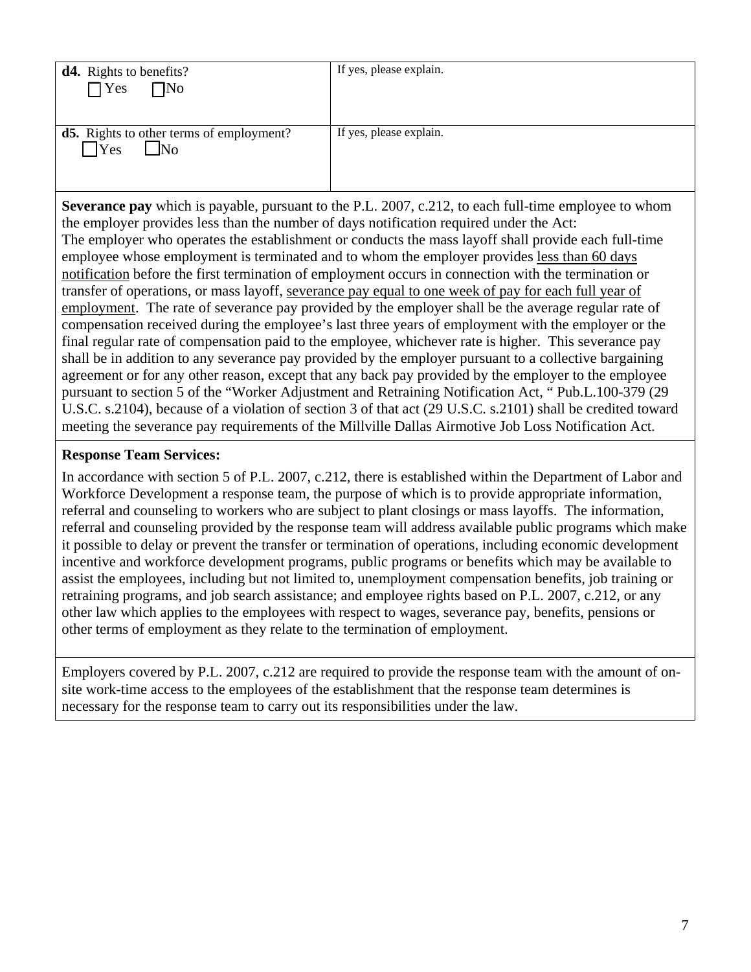| <b>d4.</b> Rights to benefits?<br>$\neg$ No<br>Yes                                                                                                                                                                                                                                                                                                                                                                                                                                                                                                                                                                                                                                                                                                                                                                                                                                                                                                                                                                                                                                                                                                                                                                                                                                                                                                                                                                                                                                                   | If yes, please explain. |
|------------------------------------------------------------------------------------------------------------------------------------------------------------------------------------------------------------------------------------------------------------------------------------------------------------------------------------------------------------------------------------------------------------------------------------------------------------------------------------------------------------------------------------------------------------------------------------------------------------------------------------------------------------------------------------------------------------------------------------------------------------------------------------------------------------------------------------------------------------------------------------------------------------------------------------------------------------------------------------------------------------------------------------------------------------------------------------------------------------------------------------------------------------------------------------------------------------------------------------------------------------------------------------------------------------------------------------------------------------------------------------------------------------------------------------------------------------------------------------------------------|-------------------------|
| <b>d5.</b> Rights to other terms of employment?<br>$\mathsf{N}_0$<br><b>T</b> Yes                                                                                                                                                                                                                                                                                                                                                                                                                                                                                                                                                                                                                                                                                                                                                                                                                                                                                                                                                                                                                                                                                                                                                                                                                                                                                                                                                                                                                    | If yes, please explain. |
| <b>Severance pay</b> which is payable, pursuant to the P.L. 2007, c.212, to each full-time employee to whom<br>the employer provides less than the number of days notification required under the Act:<br>The employer who operates the establishment or conducts the mass layoff shall provide each full-time<br>employee whose employment is terminated and to whom the employer provides less than 60 days<br>notification before the first termination of employment occurs in connection with the termination or<br>transfer of operations, or mass layoff, severance pay equal to one week of pay for each full year of<br>employment. The rate of severance pay provided by the employer shall be the average regular rate of<br>compensation received during the employee's last three years of employment with the employer or the<br>final regular rate of compensation paid to the employee, whichever rate is higher. This severance pay<br>shall be in addition to any severance pay provided by the employer pursuant to a collective bargaining<br>agreement or for any other reason, except that any back pay provided by the employer to the employee<br>pursuant to section 5 of the "Worker Adjustment and Retraining Notification Act, " Pub.L.100-379 (29<br>U.S.C. s.2104), because of a violation of section 3 of that act (29 U.S.C. s.2101) shall be credited toward<br>meeting the severance pay requirements of the Millville Dallas Airmotive Job Loss Notification Act. |                         |

## **Response Team Services:**

In accordance with section 5 of P.L. 2007, c.212, there is established within the Department of Labor and Workforce Development a response team, the purpose of which is to provide appropriate information, referral and counseling to workers who are subject to plant closings or mass layoffs. The information, referral and counseling provided by the response team will address available public programs which make it possible to delay or prevent the transfer or termination of operations, including economic development incentive and workforce development programs, public programs or benefits which may be available to assist the employees, including but not limited to, unemployment compensation benefits, job training or retraining programs, and job search assistance; and employee rights based on P.L. 2007, c.212, or any other law which applies to the employees with respect to wages, severance pay, benefits, pensions or other terms of employment as they relate to the termination of employment.

Employers covered by P.L. 2007, c.212 are required to provide the response team with the amount of onsite work-time access to the employees of the establishment that the response team determines is necessary for the response team to carry out its responsibilities under the law.